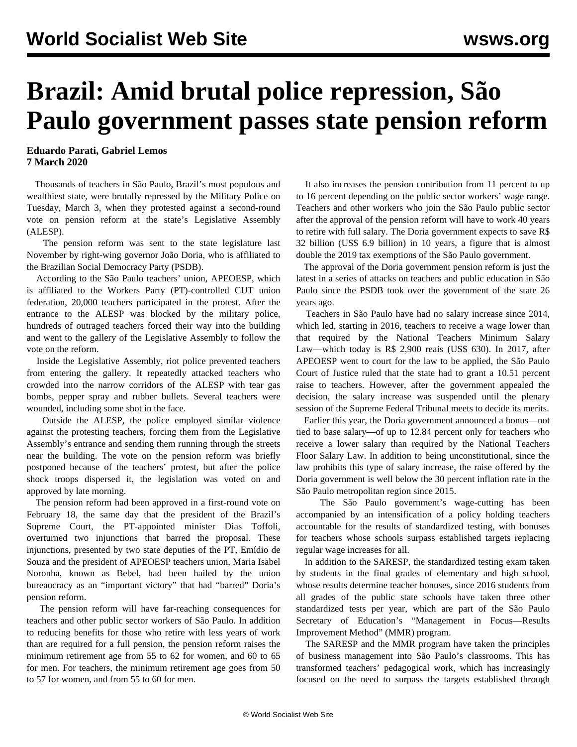## **Brazil: Amid brutal police repression, São Paulo government passes state pension reform**

**Eduardo Parati, Gabriel Lemos 7 March 2020**

 Thousands of teachers in São Paulo, Brazil's most populous and wealthiest state, were brutally repressed by the Military Police on Tuesday, March 3, when they protested against a second-round vote on pension reform at the state's Legislative Assembly (ALESP).

 The pension reform was sent to the state legislature last November by right-wing governor João Doria, who is affiliated to the Brazilian Social Democracy Party (PSDB).

 According to the São Paulo teachers' union, APEOESP, which is affiliated to the Workers Party (PT)-controlled CUT union federation, 20,000 teachers participated in the protest. After the entrance to the ALESP was blocked by the military police, hundreds of outraged teachers forced their way into the building and went to the gallery of the Legislative Assembly to follow the vote on the reform.

 Inside the Legislative Assembly, riot police prevented teachers from entering the gallery. It repeatedly attacked teachers who crowded into the narrow corridors of the ALESP with tear gas bombs, pepper spray and rubber bullets. Several teachers were wounded, including some shot in the face.

 Outside the ALESP, the police employed similar violence against the protesting teachers, forcing them from the Legislative Assembly's entrance and sending them running through the streets near the building. The vote on the pension reform was briefly postponed because of the teachers' protest, but after the police shock troops dispersed it, the legislation was voted on and approved by late morning.

 The pension reform had been approved in a first-round vote on February 18, the same day that the president of the Brazil's Supreme Court, the PT-appointed minister Dias Toffoli, overturned two injunctions that barred the proposal. These injunctions, presented by two state deputies of the PT, Emídio de Souza and the president of APEOESP teachers union, Maria Isabel Noronha, known as Bebel, had been hailed by the union bureaucracy as an "important victory" that had "barred" Doria's pension reform.

 The pension reform will have far-reaching consequences for teachers and other public sector workers of São Paulo. In addition to reducing benefits for those who retire with less years of work than are required for a full pension, the pension reform raises the minimum retirement age from 55 to 62 for women, and 60 to 65 for men. For teachers, the minimum retirement age goes from 50 to 57 for women, and from 55 to 60 for men.

 It also increases the pension contribution from 11 percent to up to 16 percent depending on the public sector workers' wage range. Teachers and other workers who join the São Paulo public sector after the approval of the pension reform will have to work 40 years to retire with full salary. The Doria government expects to save R\$ 32 billion (US\$ 6.9 billion) in 10 years, a figure that is almost double the 2019 tax exemptions of the São Paulo government.

 The approval of the Doria government pension reform is just the latest in a series of attacks on teachers and public education in São Paulo since the PSDB took over the government of the state 26 years ago.

 Teachers in São Paulo have had no salary increase since 2014, which led, starting in 2016, teachers to receive a wage lower than that required by the National Teachers Minimum Salary Law—which today is R\$ 2,900 reais (US\$ 630). In 2017, after APEOESP went to court for the law to be applied, the São Paulo Court of Justice ruled that the state had to grant a 10.51 percent raise to teachers. However, after the government appealed the decision, the salary increase was suspended until the plenary session of the Supreme Federal Tribunal meets to decide its merits.

 Earlier this year, the Doria government announced a bonus—not tied to base salary—of up to 12.84 percent only for teachers who receive a lower salary than required by the National Teachers Floor Salary Law. In addition to being unconstitutional, since the law prohibits this type of salary increase, the raise offered by the Doria government is well below the 30 percent inflation rate in the São Paulo metropolitan region since 2015.

 The São Paulo government's wage-cutting has been accompanied by an intensification of a policy holding teachers accountable for the results of standardized testing, with bonuses for teachers whose schools surpass established targets replacing regular wage increases for all.

 In addition to the SARESP, the standardized testing exam taken by students in the final grades of elementary and high school, whose results determine teacher bonuses, since 2016 students from all grades of the public state schools have taken three other standardized tests per year, which are part of the São Paulo Secretary of Education's "Management in Focus—Results Improvement Method" (MMR) program.

 The SARESP and the MMR program have taken the principles of business management into São Paulo's classrooms. This has transformed teachers' pedagogical work, which has increasingly focused on the need to surpass the targets established through